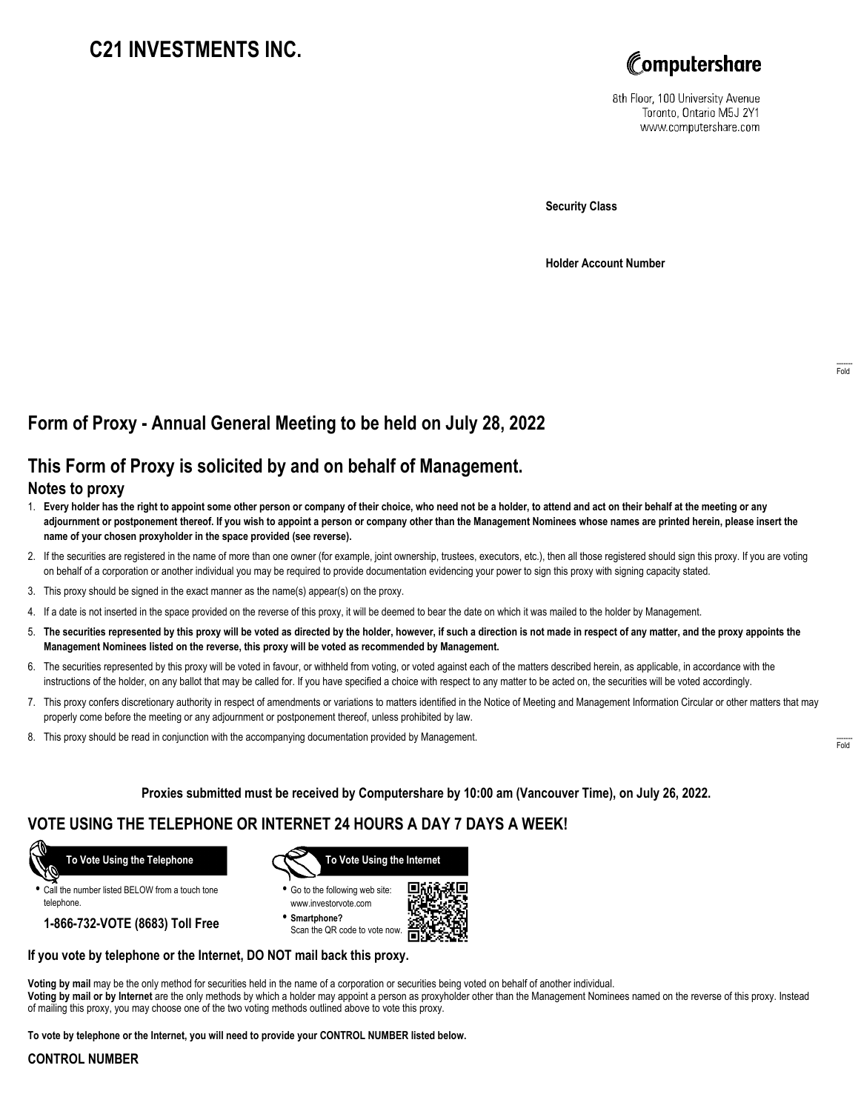# **C21 INVESTMENTS INC.**



8th Floor, 100 University Avenue Toronto, Ontario M5J 2Y1 www.computershare.com

**Security Class**

**Holder Account Number**

# **Form of Proxy - Annual General Meeting to be held on July 28, 2022**

## **This Form of Proxy is solicited by and on behalf of Management.**

#### **Notes to proxy**

- 1. **Every holder has the right to appoint some other person or company of their choice, who need not be a holder, to attend and act on their behalf at the meeting or any adjournment or postponement thereof. If you wish to appoint a person or company other than the Management Nominees whose names are printed herein, please insert the name of your chosen proxyholder in the space provided (see reverse).**
- 2. If the securities are registered in the name of more than one owner (for example, joint ownership, trustees, executors, etc.), then all those registered should sign this proxy. If you are voting on behalf of a corporation or another individual you may be required to provide documentation evidencing your power to sign this proxy with signing capacity stated.
- 3. This proxy should be signed in the exact manner as the name(s) appear(s) on the proxy.
- 4. If a date is not inserted in the space provided on the reverse of this proxy, it will be deemed to bear the date on which it was mailed to the holder by Management.
- 5. **The securities represented by this proxy will be voted as directed by the holder, however, if such a direction is not made in respect of any matter, and the proxy appoints the Management Nominees listed on the reverse, this proxy will be voted as recommended by Management.**
- 6. The securities represented by this proxy will be voted in favour, or withheld from voting, or voted against each of the matters described herein, as applicable, in accordance with the instructions of the holder, on any ballot that may be called for. If you have specified a choice with respect to any matter to be acted on, the securities will be voted accordingly.
- 7. This proxy confers discretionary authority in respect of amendments or variations to matters identified in the Notice of Meeting and Management Information Circular or other matters that may properly come before the meeting or any adjournment or postponement thereof, unless prohibited by law.
- 8. This proxy should be read in conjunction with the accompanying documentation provided by Management.

**Proxies submitted must be received by Computershare by 10:00 am (Vancouver Time), on July 26, 2022.**

### **VOTE USING THE TELEPHONE OR INTERNET 24 HOURS A DAY 7 DAYS A WEEK!**



**•** Call the number listed BELOW from a touch tone telephone.

**1-866-732-VOTE (8683) Toll Free**



**•** Go to the following web site: www.investorvote.com

**• Smartphone?** Scan the QR code to vote now.



#### **If you vote by telephone or the Internet, DO NOT mail back this proxy.**

**Voting by mail** may be the only method for securities held in the name of a corporation or securities being voted on behalf of another individual. **Voting by mail or by Internet** are the only methods by which a holder may appoint a person as proxyholder other than the Management Nominees named on the reverse of this proxy. Instead of mailing this proxy, you may choose one of the two voting methods outlined above to vote this proxy.

**To vote by telephone or the Internet, you will need to provide your CONTROL NUMBER listed below.**

#### **CONTROL NUMBER**